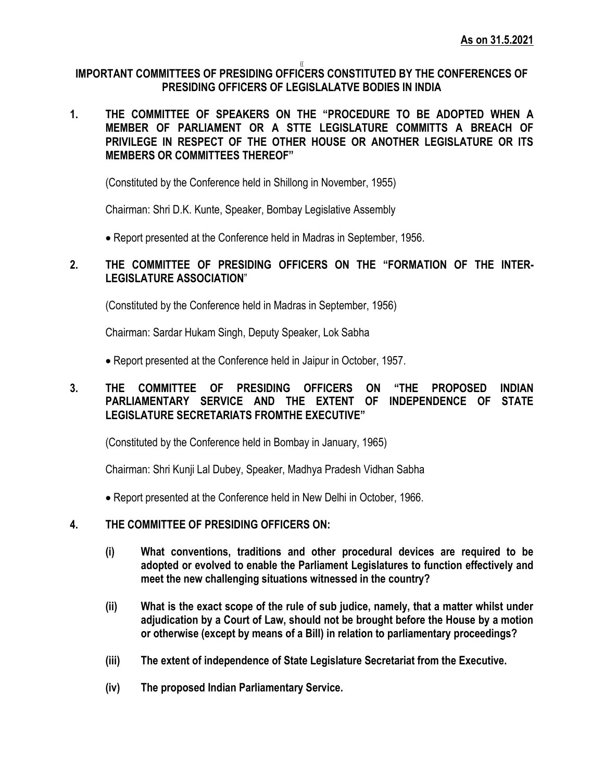#### {{ **IMPORTANT COMMITTEES OF PRESIDING OFFICERS CONSTITUTED BY THE CONFERENCES OF PRESIDING OFFICERS OF LEGISLALATVE BODIES IN INDIA**

**1. THE COMMITTEE OF SPEAKERS ON THE "PROCEDURE TO BE ADOPTED WHEN A MEMBER OF PARLIAMENT OR A STTE LEGISLATURE COMMITTS A BREACH OF PRIVILEGE IN RESPECT OF THE OTHER HOUSE OR ANOTHER LEGISLATURE OR ITS MEMBERS OR COMMITTEES THEREOF"**

(Constituted by the Conference held in Shillong in November, 1955)

Chairman: Shri D.K. Kunte, Speaker, Bombay Legislative Assembly

Report presented at the Conference held in Madras in September, 1956.

## **2. THE COMMITTEE OF PRESIDING OFFICERS ON THE "FORMATION OF THE INTER-LEGISLATURE ASSOCIATION**"

(Constituted by the Conference held in Madras in September, 1956)

Chairman: Sardar Hukam Singh, Deputy Speaker, Lok Sabha

Report presented at the Conference held in Jaipur in October, 1957.

## **3. THE COMMITTEE OF PRESIDING OFFICERS ON "THE PROPOSED INDIAN PARLIAMENTARY SERVICE AND THE EXTENT OF INDEPENDENCE OF STATE LEGISLATURE SECRETARIATS FROMTHE EXECUTIVE"**

(Constituted by the Conference held in Bombay in January, 1965)

Chairman: Shri Kunji Lal Dubey, Speaker, Madhya Pradesh Vidhan Sabha

Report presented at the Conference held in New Delhi in October, 1966.

## **4. THE COMMITTEE OF PRESIDING OFFICERS ON:**

- **(i) What conventions, traditions and other procedural devices are required to be adopted or evolved to enable the Parliament Legislatures to function effectively and meet the new challenging situations witnessed in the country?**
- **(ii) What is the exact scope of the rule of sub judice, namely, that a matter whilst under adjudication by a Court of Law, should not be brought before the House by a motion or otherwise (except by means of a Bill) in relation to parliamentary proceedings?**
- **(iii) The extent of independence of State Legislature Secretariat from the Executive.**
- **(iv) The proposed Indian Parliamentary Service.**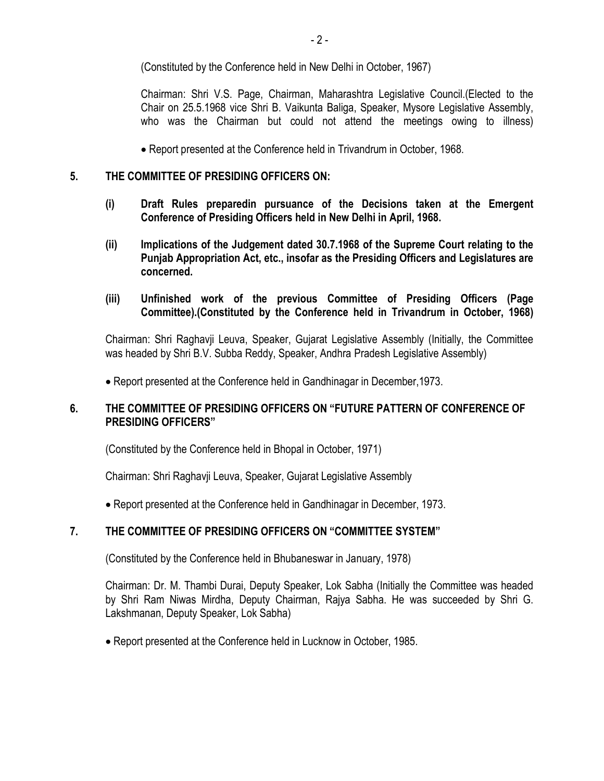(Constituted by the Conference held in New Delhi in October, 1967)

Chairman: Shri V.S. Page, Chairman, Maharashtra Legislative Council.(Elected to the Chair on 25.5.1968 vice Shri B. Vaikunta Baliga, Speaker, Mysore Legislative Assembly, who was the Chairman but could not attend the meetings owing to illness)

Report presented at the Conference held in Trivandrum in October, 1968.

## **5. THE COMMITTEE OF PRESIDING OFFICERS ON:**

- **(i) Draft Rules preparedin pursuance of the Decisions taken at the Emergent Conference of Presiding Officers held in New Delhi in April, 1968.**
- **(ii) Implications of the Judgement dated 30.7.1968 of the Supreme Court relating to the Punjab Appropriation Act, etc., insofar as the Presiding Officers and Legislatures are concerned.**
- **(iii) Unfinished work of the previous Committee of Presiding Officers (Page Committee).(Constituted by the Conference held in Trivandrum in October, 1968)**

Chairman: Shri Raghavji Leuva, Speaker, Gujarat Legislative Assembly (Initially, the Committee was headed by Shri B.V. Subba Reddy, Speaker, Andhra Pradesh Legislative Assembly)

Report presented at the Conference held in Gandhinagar in December,1973.

## **6. THE COMMITTEE OF PRESIDING OFFICERS ON "FUTURE PATTERN OF CONFERENCE OF PRESIDING OFFICERS"**

(Constituted by the Conference held in Bhopal in October, 1971)

Chairman: Shri Raghavji Leuva, Speaker, Gujarat Legislative Assembly

Report presented at the Conference held in Gandhinagar in December, 1973.

## **7. THE COMMITTEE OF PRESIDING OFFICERS ON "COMMITTEE SYSTEM"**

(Constituted by the Conference held in Bhubaneswar in January, 1978)

Chairman: Dr. M. Thambi Durai, Deputy Speaker, Lok Sabha (Initially the Committee was headed by Shri Ram Niwas Mirdha, Deputy Chairman, Rajya Sabha. He was succeeded by Shri G. Lakshmanan, Deputy Speaker, Lok Sabha)

Report presented at the Conference held in Lucknow in October, 1985.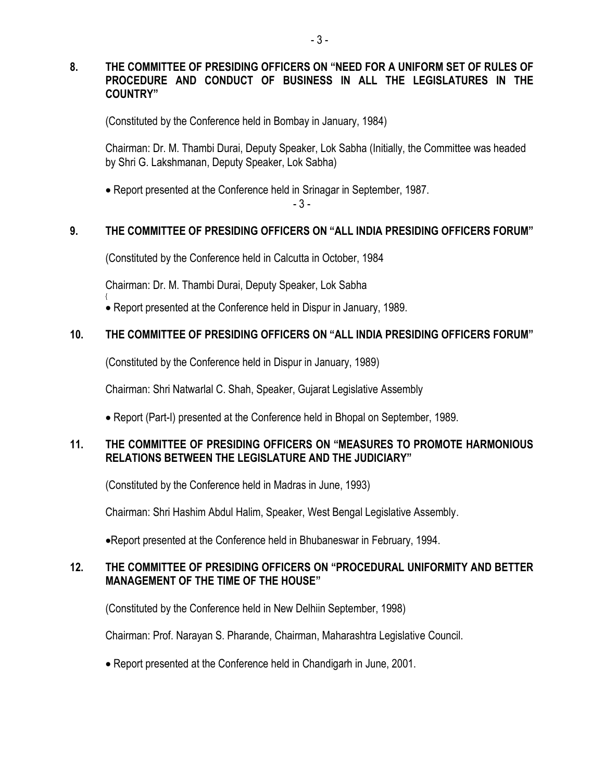## **8. THE COMMITTEE OF PRESIDING OFFICERS ON "NEED FOR A UNIFORM SET OF RULES OF PROCEDURE AND CONDUCT OF BUSINESS IN ALL THE LEGISLATURES IN THE COUNTRY"**

(Constituted by the Conference held in Bombay in January, 1984)

Chairman: Dr. M. Thambi Durai, Deputy Speaker, Lok Sabha (Initially, the Committee was headed by Shri G. Lakshmanan, Deputy Speaker, Lok Sabha)

Report presented at the Conference held in Srinagar in September, 1987.

- 3 -

# **9. THE COMMITTEE OF PRESIDING OFFICERS ON "ALL INDIA PRESIDING OFFICERS FORUM"**

(Constituted by the Conference held in Calcutta in October, 1984

Chairman: Dr. M. Thambi Durai, Deputy Speaker, Lok Sabha

{

Report presented at the Conference held in Dispur in January, 1989.

# **10. THE COMMITTEE OF PRESIDING OFFICERS ON "ALL INDIA PRESIDING OFFICERS FORUM"**

(Constituted by the Conference held in Dispur in January, 1989)

Chairman: Shri Natwarlal C. Shah, Speaker, Gujarat Legislative Assembly

Report (Part-I) presented at the Conference held in Bhopal on September, 1989.

# **11. THE COMMITTEE OF PRESIDING OFFICERS ON "MEASURES TO PROMOTE HARMONIOUS RELATIONS BETWEEN THE LEGISLATURE AND THE JUDICIARY"**

(Constituted by the Conference held in Madras in June, 1993)

Chairman: Shri Hashim Abdul Halim, Speaker, West Bengal Legislative Assembly.

Report presented at the Conference held in Bhubaneswar in February, 1994.

## **12. THE COMMITTEE OF PRESIDING OFFICERS ON "PROCEDURAL UNIFORMITY AND BETTER MANAGEMENT OF THE TIME OF THE HOUSE"**

(Constituted by the Conference held in New Delhiin September, 1998)

Chairman: Prof. Narayan S. Pharande, Chairman, Maharashtra Legislative Council.

Report presented at the Conference held in Chandigarh in June, 2001.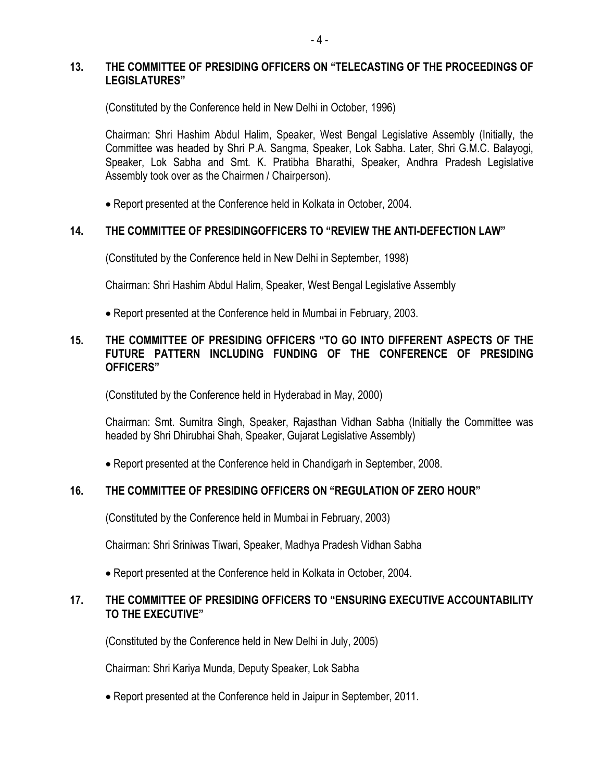### **13. THE COMMITTEE OF PRESIDING OFFICERS ON "TELECASTING OF THE PROCEEDINGS OF LEGISLATURES"**

(Constituted by the Conference held in New Delhi in October, 1996)

Chairman: Shri Hashim Abdul Halim, Speaker, West Bengal Legislative Assembly (Initially, the Committee was headed by Shri P.A. Sangma, Speaker, Lok Sabha. Later, Shri G.M.C. Balayogi, Speaker, Lok Sabha and Smt. K. Pratibha Bharathi, Speaker, Andhra Pradesh Legislative Assembly took over as the Chairmen / Chairperson).

Report presented at the Conference held in Kolkata in October, 2004.

#### **14. THE COMMITTEE OF PRESIDINGOFFICERS TO "REVIEW THE ANTI-DEFECTION LAW"**

(Constituted by the Conference held in New Delhi in September, 1998)

Chairman: Shri Hashim Abdul Halim, Speaker, West Bengal Legislative Assembly

Report presented at the Conference held in Mumbai in February, 2003.

### **15. THE COMMITTEE OF PRESIDING OFFICERS "TO GO INTO DIFFERENT ASPECTS OF THE FUTURE PATTERN INCLUDING FUNDING OF THE CONFERENCE OF PRESIDING OFFICERS"**

(Constituted by the Conference held in Hyderabad in May, 2000)

Chairman: Smt. Sumitra Singh, Speaker, Rajasthan Vidhan Sabha (Initially the Committee was headed by Shri Dhirubhai Shah, Speaker, Gujarat Legislative Assembly)

Report presented at the Conference held in Chandigarh in September, 2008.

#### **16. THE COMMITTEE OF PRESIDING OFFICERS ON "REGULATION OF ZERO HOUR"**

(Constituted by the Conference held in Mumbai in February, 2003)

Chairman: Shri Sriniwas Tiwari, Speaker, Madhya Pradesh Vidhan Sabha

Report presented at the Conference held in Kolkata in October, 2004.

## **17. THE COMMITTEE OF PRESIDING OFFICERS TO "ENSURING EXECUTIVE ACCOUNTABILITY TO THE EXECUTIVE"**

(Constituted by the Conference held in New Delhi in July, 2005)

Chairman: Shri Kariya Munda, Deputy Speaker, Lok Sabha

Report presented at the Conference held in Jaipur in September, 2011.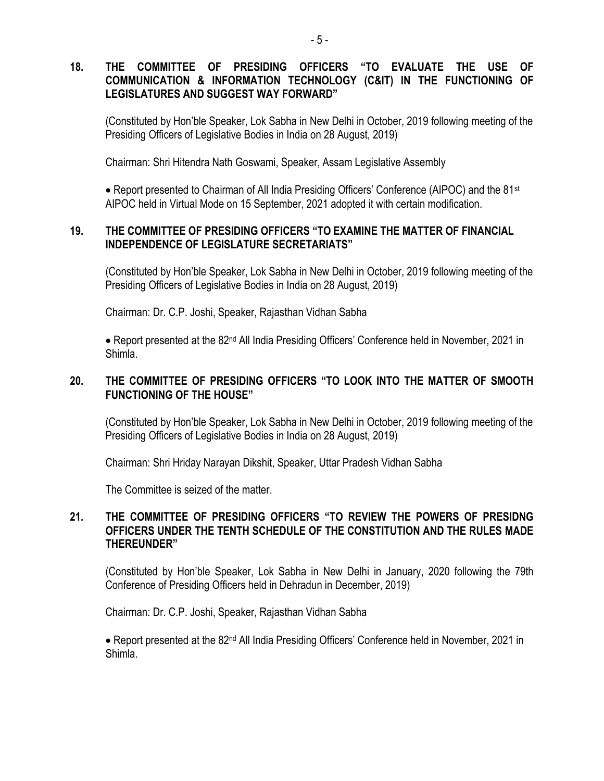## **18. THE COMMITTEE OF PRESIDING OFFICERS "TO EVALUATE THE USE OF COMMUNICATION & INFORMATION TECHNOLOGY (C&IT) IN THE FUNCTIONING OF LEGISLATURES AND SUGGEST WAY FORWARD"**

(Constituted by Hon'ble Speaker, Lok Sabha in New Delhi in October, 2019 following meeting of the Presiding Officers of Legislative Bodies in India on 28 August, 2019)

Chairman: Shri Hitendra Nath Goswami, Speaker, Assam Legislative Assembly

• Report presented to Chairman of All India Presiding Officers' Conference (AIPOC) and the 81<sup>st</sup> AIPOC held in Virtual Mode on 15 September, 2021 adopted it with certain modification.

### **19. THE COMMITTEE OF PRESIDING OFFICERS "TO EXAMINE THE MATTER OF FINANCIAL INDEPENDENCE OF LEGISLATURE SECRETARIATS"**

(Constituted by Hon'ble Speaker, Lok Sabha in New Delhi in October, 2019 following meeting of the Presiding Officers of Legislative Bodies in India on 28 August, 2019)

Chairman: Dr. C.P. Joshi, Speaker, Rajasthan Vidhan Sabha

• Report presented at the 82<sup>nd</sup> All India Presiding Officers' Conference held in November, 2021 in Shimla.

## **20. THE COMMITTEE OF PRESIDING OFFICERS "TO LOOK INTO THE MATTER OF SMOOTH FUNCTIONING OF THE HOUSE"**

(Constituted by Hon'ble Speaker, Lok Sabha in New Delhi in October, 2019 following meeting of the Presiding Officers of Legislative Bodies in India on 28 August, 2019)

Chairman: Shri Hriday Narayan Dikshit, Speaker, Uttar Pradesh Vidhan Sabha

The Committee is seized of the matter.

### **21. THE COMMITTEE OF PRESIDING OFFICERS "TO REVIEW THE POWERS OF PRESIDNG OFFICERS UNDER THE TENTH SCHEDULE OF THE CONSTITUTION AND THE RULES MADE THEREUNDER"**

(Constituted by Hon'ble Speaker, Lok Sabha in New Delhi in January, 2020 following the 79th Conference of Presiding Officers held in Dehradun in December, 2019)

Chairman: Dr. C.P. Joshi, Speaker, Rajasthan Vidhan Sabha

• Report presented at the 82<sup>nd</sup> All India Presiding Officers' Conference held in November, 2021 in Shimla.